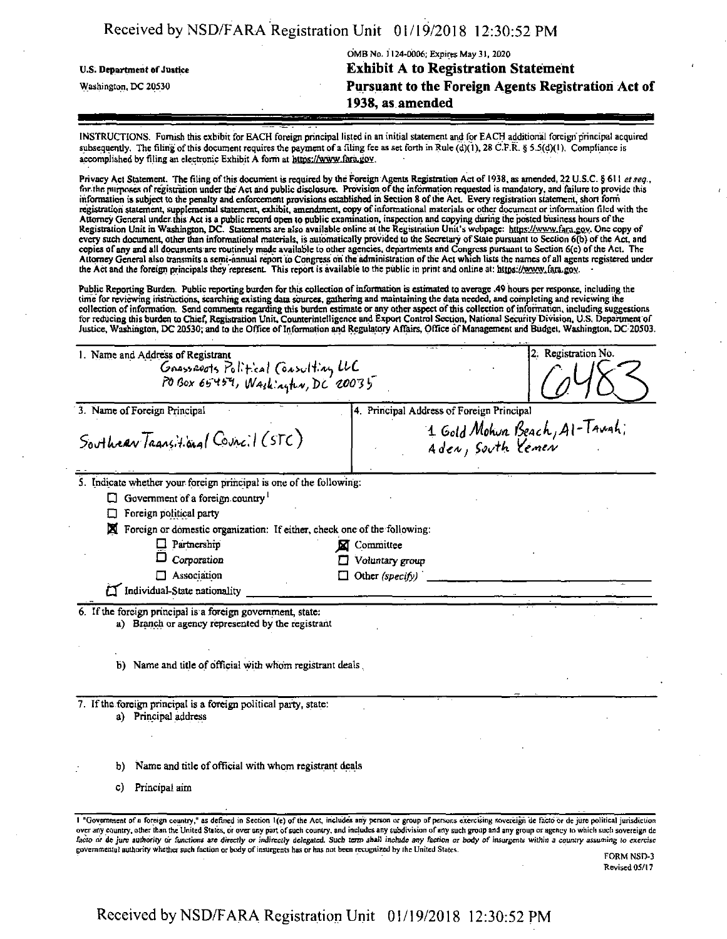|                                   | OMB No. 1124-0006; Expires May 31, 2020            |
|-----------------------------------|----------------------------------------------------|
| <b>U.S. Department of Justice</b> | <b>Exhibit A to Registration Statement</b>         |
| Washington, DC 20530              | Pursuant to the Foreign Agents Registration Act of |
|                                   | 1938, as amended                                   |

INSTRUCTIONS. Furnish this exhibit for EACH foreign principal listed in an initial statement and for EACH additional foreign'principal acquired subsequently. The filing of this document requires the payment of a filing fee as set forth in Rule (d)(1), 28 C.F.R. § 5.5(d)(1). Compliance is accomplished by filing an electronic Exhibit A form at https://www.fara.gov.

Privacy Act Statement. The filing ofthis document is required by the Foreign Agents Registration Act of 1938, as amended, 22 U.S.C. § 611 *etseg.,* for the purposes of registration under the Act and public disclosure. Provision of the information requested is mandatory, and failure to provide this information is subject to the penalty and enforcement provisions established in Section 8 ofthe Act Every registration statement, short form registration statement, supplemental statement, exhibit, amendment, copy ofinformational materials or other document or information filed with the Attorney General under this Act is a public record open to public examination, inspection and copying during the posted business hours of the Registration Unit in Washington, DC. Statements are also available online at the Registration Unit's webpage: https://www.fara.gov. One copy of every such document, other than informational materials, is automatically provided to the Secretary of State pursuant to Section 6(b) of the Act, and copies ofany and all documents are routinely made available to other agencies, departments arid Congress pursuant to Section 6(c) ofthe Act. The Attorney General also transmits a semi-annual report to Congress on the'administration ofthe Act which lists the names ofall agents registered under the Act and the foreign principals they represent. This report is available to the public in print and online at: https://www.fara.gov.

PublicReporting Burden. Public reporting burden forthis collection ofinformation is estimated to average .49 hours per response, including the time for reviewing instructions, searching existing dam sources, gathering and maintaining the data needed, and completing and reviewing the collection of information. Send comments regarding this burden estimate or any other aspect of this collection of information, including suggestions for reducing this burden to Chief, Registration Unit, Counterintelligence and Export Control Section, National Security Division, U.S. Department of<br>Justice, Washington, DC 20530; and to the Office of Information and Regul

| 1. Name and Address of Registrant                                                                                | 2. Registration No.                                                                                                                                                                 |
|------------------------------------------------------------------------------------------------------------------|-------------------------------------------------------------------------------------------------------------------------------------------------------------------------------------|
| Gnassauots Political (oasulting LLC<br>POBox 65459, Washington, DC 20035                                         |                                                                                                                                                                                     |
|                                                                                                                  |                                                                                                                                                                                     |
| 3. Name of Foreign Principal                                                                                     | 4. Principal Address of Foreign Principal                                                                                                                                           |
| Southear Transitional Council (STC)                                                                              | 1 Gold Mohum Beach, Al-Taugh;<br>Aden, South Yemen                                                                                                                                  |
| 5. Indicate whether your foreign principal is one of the following:                                              |                                                                                                                                                                                     |
| Government of a foreign country<br>ப                                                                             |                                                                                                                                                                                     |
| Foreign political party                                                                                          |                                                                                                                                                                                     |
| Foreign or domestic organization: If either, check one of the following:                                         |                                                                                                                                                                                     |
| $\Box$ Partnership                                                                                               | Committee                                                                                                                                                                           |
| Corporation                                                                                                      | Voluntary group                                                                                                                                                                     |
| Association<br>П.                                                                                                | Other (specify)                                                                                                                                                                     |
| Individual-State nationality                                                                                     |                                                                                                                                                                                     |
| 6. If the foreign principal is a foreign government, state:<br>a) Branch or agency represented by the registrant |                                                                                                                                                                                     |
| b) Name and title of official with whom registrant deals.                                                        |                                                                                                                                                                                     |
| 7. If the foreign principal is a foreign political party, state:<br>a) Principal address                         |                                                                                                                                                                                     |
| Name and title of official with whom registrant deals<br>p)                                                      |                                                                                                                                                                                     |
| Principal aim<br>C)                                                                                              |                                                                                                                                                                                     |
|                                                                                                                  | 1 "Government of a foreign country," as defined in Section 1(e) of the Act, includes any person or group of persons exercising sovereign de facto or de jure political jurisdiction |

over any country, other than the United States, dr over any pan ofsuch country, and includes any subdivision ofany such group and any group or agency in which such sovereign dc facto or de jure authority or functions are directly or indirectly delegated. Such term shall include any faction or body of insurgents within a country assuming to exercise governmental authority whether such faction or body of insurgents has or has not been recognized by the United States.

FORM NSD-3 Revised 05/17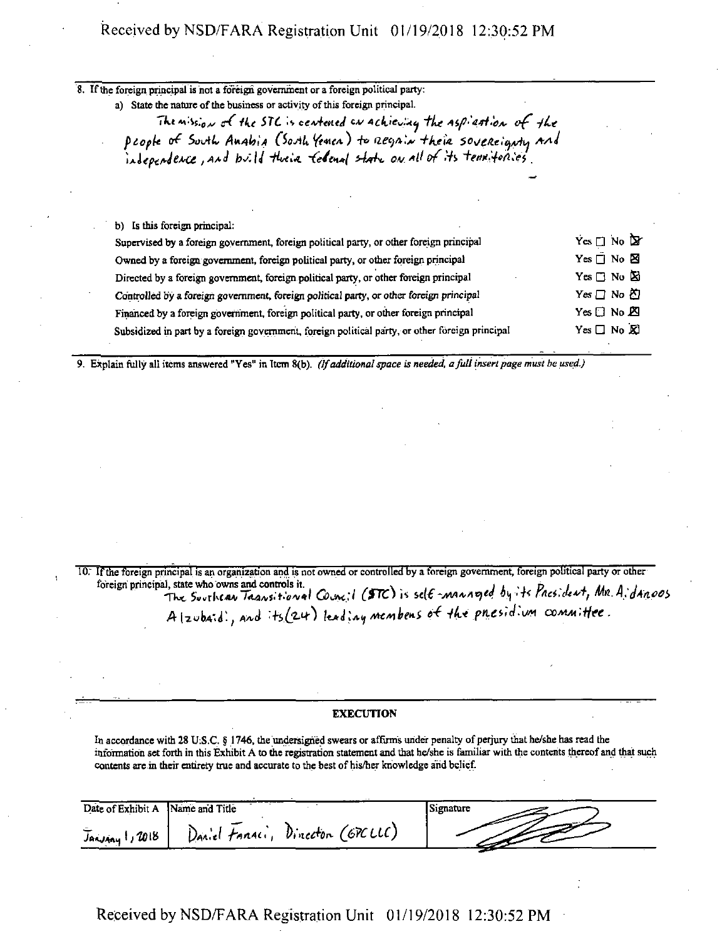| 8. If the foreign principal is not a foreign government or a foreign political party:<br>a) State the nature of the business or activity of this foreign principal.<br>The mission of the STC is centened on achieving the aspiration of the |                           |
|----------------------------------------------------------------------------------------------------------------------------------------------------------------------------------------------------------------------------------------------|---------------------------|
| people of South Anabia (South Yenen) to regnin their sovereignty and<br>independence, and build their federal state on all of its termifories                                                                                                |                           |
|                                                                                                                                                                                                                                              |                           |
| b) Is this foreign principal:                                                                                                                                                                                                                |                           |
| Supervised by a foreign government, foreign political party, or other foreign principal                                                                                                                                                      | Yes $\Box$ No $\Box$      |
| Owned by a foreign government, foreign political party, or other foreign principal                                                                                                                                                           | Yes □ No 図                |
| Directed by a foreign government, foreign political party, or other foreign principal                                                                                                                                                        | Yes $\Box$ No $\boxtimes$ |
| Controlled by a foreign government, foreign political party, or other foreign principal                                                                                                                                                      | Yes □ No 的                |
| Financed by a foreign government, foreign political party, or other foreign principal                                                                                                                                                        | Yes □ No 囟                |
| Subsidized in part by a foreign government, foreign political party, or other foreign principal                                                                                                                                              | $Yes \Box No \times$      |

9. Explain fully all items answered "Yes" in Item 8(b). *(If additionalspace is needed, afull insertpage must be used.)*

10; Ifthe foreign principal is an organization and is not owned or controlled by a foreign government, foreign political party or other foreign principal, state who owns and controls it. . , , <sup>i</sup> *,* ,, is *<sup>i</sup> , a <sup>a</sup> <sup>i</sup>* Tkt G)\*\*;/ *(&£>* R *-AM+Aqed 6^ H r/ici.cM,* A (zubaid), and its (zur) leading membens of the presidium committee.

#### **EXECUTION**

In accordance with 28 U:S.C. § 1746, the undersigned swears or affirms under penalty of perjury that he/she has read the information set forth in this Exhibit A to the registration statement and that he/she is familiar with the contents thereofand that such contents are in their entirety true and accurate to the best of his/her knowledge and belief.

| Date of Exhibit A | Name and Title                      | Signature |
|-------------------|-------------------------------------|-----------|
| Janviny 1, 2018   | Dinecton (GPCLLC)<br>Daniel Fanaci, |           |

Received by NSD/FARA Registration Unit 01/19/2018 12:30:52 PM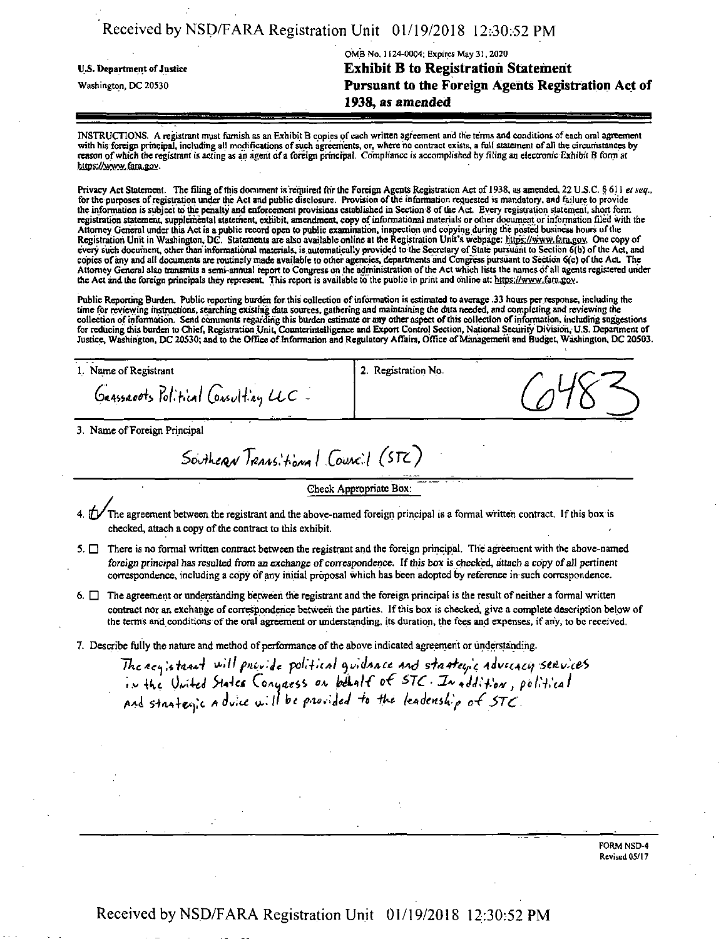| Received by NSD/FARA Registration Unit 01/19/2018 12:30:52 PM |  |  |
|---------------------------------------------------------------|--|--|
|---------------------------------------------------------------|--|--|

OMB No. 1(24-0004; Expires May 31,2020 U.S. Department of Justice **Exhibit B to Registration Statement** Washington, DC 20530 **Pursuant to the Foreign Agents Registration Act of** 1938, as amended

INSTRUCTIONS. A registrant must furnish as an ExhibitB copies of each written agreement and the terms and conditions of each oral agreement with his foreign principal, including all modifications of such agreements, or, where no contract exists, a full statement of all the circumstances by reason of which the registrant is acting as an agent of a foreign principal. Compliance is accomplished by filing an electronic Exhibit B form at https://www.tara.gov.

Privacy Act Statement. The filing ofthis document isrequired forthe Foreign AgentsRegistration Act of 1938, as amended. 22 U.S.C. <sup>5</sup> 611 *et xeq.,* for the purposes of registration under the Act and public disclosure. Provision of the information requested is mandatory, and failure to provide the information is subject to tbic penally and enforcement provisions established in Section 8 ofthe Act. Every registration statement, short form registration statement, supplemental statement, exhibit, amendment, copy ofinformational materials or other document orinfonnation filed with the Attorney General under this Act is a public record open to public examination, inspection and copying during the posted business hours of the<br>Registration Unit in Washington, DC. Statements are also available online at the every such document, other than informational materials, is automatically provided to the Secretary of State pursuant to Section 6(b) of the Act, and copies ofany and all documents are routinely made available to other agencies, departments and Congress pursuant to Section 6(c) ofthe Act The Attorney General also transmits a semi-annual report to Congress on the administration of the Act which lists the names of all agents registered under the Act and the foreign principals they represent. This report is available to the public in print and online at: https://www.fara.gov.

Public Reporting Burden. Public reporting burden for this collection of information is estimated to average .33 hours per response, including the time for reviewing instructions,searching existing data sources, gathering and maintaining (he data needed, and completing and reviewing (he collection of information. Send comments regarding this burden estimate or any other aspect of this collection of information, including suggestions for reducing this burden to Chief, Registration Unit, Counterintelligence and Export Control Section, National Security Division,-U.S. Department of Justice, Washington, DC 20530; and to the Office of Information and Regulatory Affairs, Office of Management and Budget, Washington, DC 20503.

1. Name of Registrant

Gaassacots Political Consulting  $UC$ 

2. Registration No.

3. Name of Foreign Principal

Southeran Transitional Council (STC)

Check Appropriate Box:

- The agreement between the registrant and the above-named foreign principal is a formal written contract. If this box is checked, attach a copy of the contract to this exhibit.
- 5.  $\Box$  There is no formal written contract between the registrant and the foreign principal. The agreement with the above-named foreign principal has resulted from an exchange of correspondence. If this box is checked, attach a copy of all pertinent correspondence, including a copy ofany initial proposal which has been adopted by reference in such correspondence.
- $6.$   $\Box$  The agreement or understanding between the registrant and the foreign principal is the result of neither a formal written contract nor an exchange of correspondence between the parties. If this box is checked, give a complete description below of the terms and conditions of the oral agreement or understanding, its duration, the fees and expenses, if any, to be received.
- 7. Describe fully the nature and method of performance of the above indicated agreement or understanding.

The acy; stant will provide political guidance and stanteric advectory services  $V = \frac{1}{2} \int_{0}^{2} \frac{1}{2} \int_{0}^{2} \frac{1}{2} \int_{0}^{2} \frac{1}{2} \int_{0}^{2} \frac{1}{2} \int_{0}^{2} \frac{1}{2} \int_{0}^{2} \frac{1}{2} \int_{0}^{2} \frac{1}{2} \int_{0}^{2} \frac{1}{2} \int_{0}^{2} \frac{1}{2} \int_{0}^{2} \frac{1}{2} \int_{0}^{2} \frac{1}{2} \int_{0}^{2} \frac{1}{2} \int_{0}^{2} \frac{1}{2} \int_{0}^{2} \frac{1}{2} \$ ma the United Hates Congress on peans or SIC. In addition,

> FORM NSD-4 Revised 05/17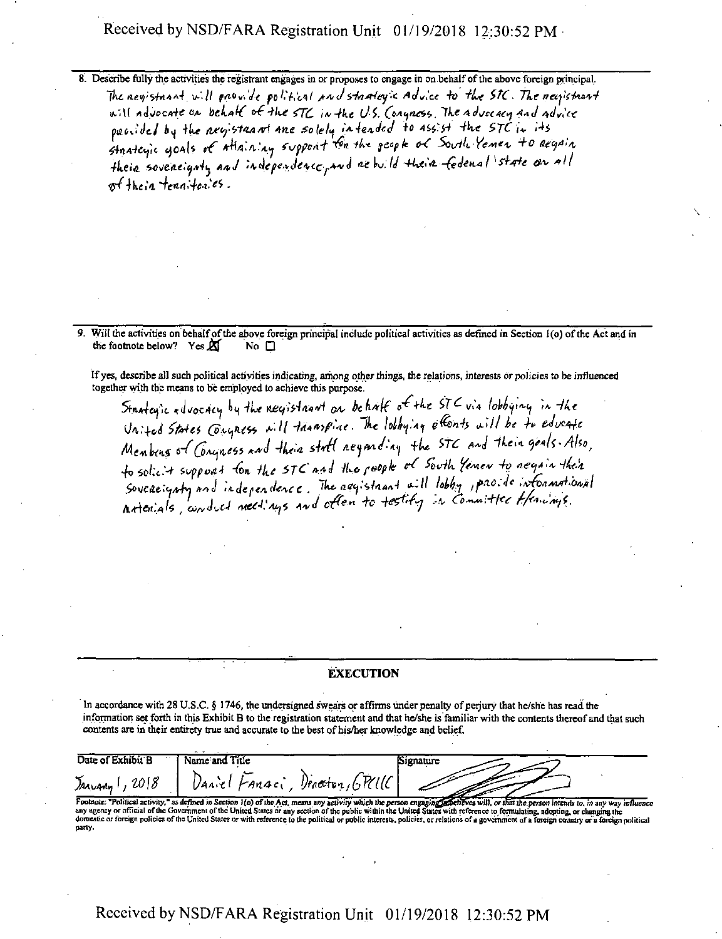8. Describe fully the activities the registrant engages in or proposes to engage in on behalf of the above foreign principal. The negistnant will provide political and stanley's Advice to the STC. The negistrant will advocate on behalf of the STC in the U.S. Congress. The advocacy and advice provided by the newstanant ane solely intended to assist the STC in its their soveneignty and independence, and ae build their fedenal state on all  $s$  their tennitories.

9. Will the activities on behalf of the above foreign principal include political activities as defined in Section 1(0) of the Act and in the footnote below? Yes  $\mathbb X$ No  $\square$ 

If yes, describe all such political activities indicating, among other things, the relations, interests or policies to be influenced together with the means to be employed to achieve this purpose.

Stantagic advocacy by the negistaant on behalf of the STC via lobbying in the United States Conyness will thanspine. The lobbying efforts will be to educate Membeus of Congness and their stoff neganding the STC and their goals. Also, to solicit supposed for the STC and the poople of South Yemen to negate their Sovereignty and independence. The aggistriant will lobby, provide informational

#### **EXECUTION**

In accordance with 28 U.S.C. § 1746, the undersigned swears or affirms under penalty of perjury that he/she has read the information set forth in this Exhibit B to the registration statement and that he/she is familiar with the contents thereof and that such contents are in their entirety true and accurate to the best of his/her knowledge and belief.

| Date of Exhibit B | Name and Title | Signature           |  |
|-------------------|----------------|---------------------|--|
| 2018<br>Arvany    | 1404<br>FAndc  | Denector, $6$ $R11$ |  |

Footnote: "Political activity," as defined in Section 1(o) of the Act, means any activity which the person engaging defenves will, or that the person intends to, in any way influence any agency or official of the Governmen domestic or foreign policies of the United States or with reference to the political or public interests, policies, or relations of a government of a foreign country or a foreign political party.

### Received by NSD/FARA Registration Unit 01/19/2018 12:30:52 PM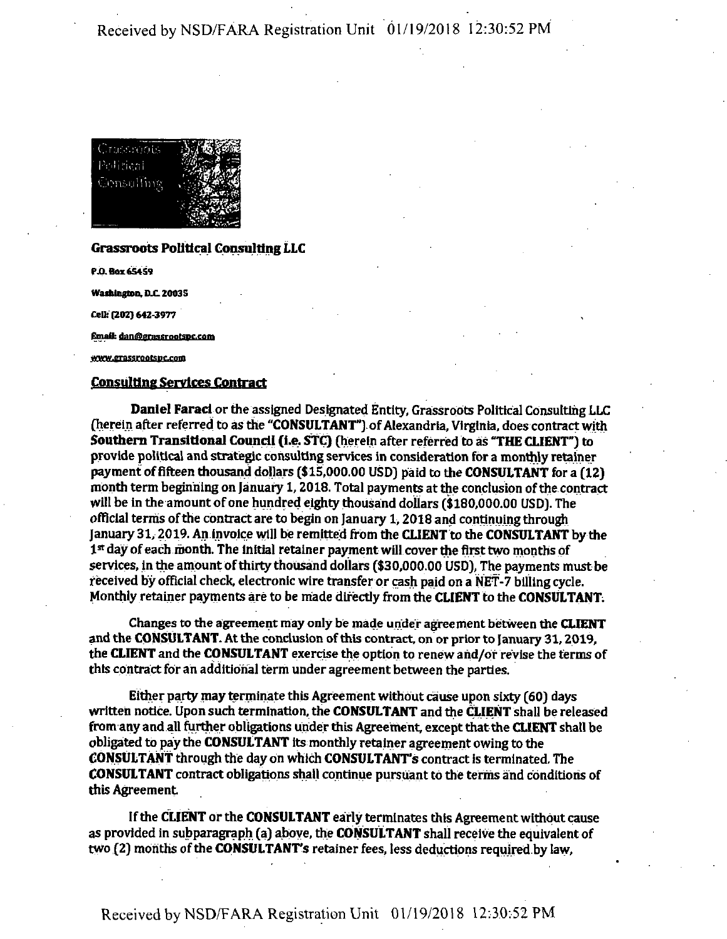

#### Grassroots Political Consulting LLC

**P.O.Box 6S4S9**

**Washington, D.C. 20035** 

**Cell: (202) 642-3977**

Email: dan@grassrootspc.com

www.grassrootspc.com

#### Consulting Services Contract

Daniel Farad orthe assigned Designated Entity, Grassroots Political Consulting LLC (herein after referred to as the "CONSULTANT") of Alexandria, Virginia, does contract with Southern Transitional Council (i.e. STC) (herein after referred to as "THE CLIENT"] to provide political and strategic consulting services in consideration for a monthly retainer payment of fifteen thousand dollars (\$15,000.00 USD) paid to the CONSULTANT for a  $(12)$ month term beginning on January 1,2018. Total payments at the conclusion ofthe contract will be in the amount of one hundred eighty thousand dollars (\$180,000.00 USD). The official terms ofthe contract are to begin on January 1,2018 and continuing through January 31,2019. An invoice will be remitted from the CLIENT to the CONSULTANT by the 1st day of each month. The initial retainer payment will cover the first two months of services, in the amount of thirty thousand dollars (\$30,000.00 USD), The payments must be received by official check, electronic wire transfer or cash paid on a NET-7 billing cycle. Monthly retainer payments are to be made directly from the CLIENT to the CONSULTANT.

Changes to the agreement may only be made under agreement between the CLIENT and the CONSULTANT. At the conclusion of this contract, on or prior to January 31, 2019, the CLIENT and the CONSULTANT exercise the option to renewand/or revise the terms of this contract for an additional term under agreement between the parties.

Either party mayterminate this Agreementwithout cause upon sixty (60] days written notice. Upon such termination, the CONSULTANT and the CUENT shall be released from any and all further obligations under this Agreement, except that the CLIENT shall be obligated to pay the CONSULTANT its monthly retainer agreement owing to the CONSULTANT through the day on which CONSULTANT'S contract is terminated The CONSULTANT contract obligations shall continue pursuant to the terms and conditions of this Agreement

If the CLIENT or the CONSULTANT early terminates this Agreement without cause as provided in subparagraph (a) above, the CONSULTANT shall receive the equivalent of two (2) months of the CONSULTANT's retainer fees, less deductions required by law.